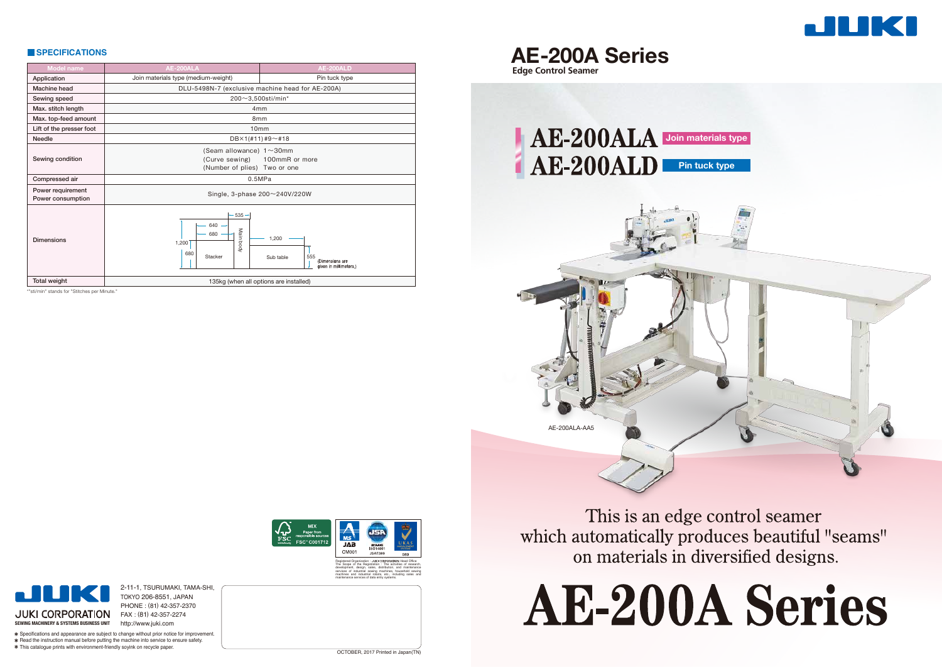| <b>SPECIFICATIONS</b>                  |                                                                                   |                                                                        | <b>AE-200A Series</b>      |
|----------------------------------------|-----------------------------------------------------------------------------------|------------------------------------------------------------------------|----------------------------|
| <b>Model name</b>                      | AE-200ALA                                                                         | <b>AE-200ALD</b>                                                       | <b>Edge Control Seamer</b> |
| Application                            | Join materials type (medium-weight)                                               | Pin tuck type                                                          |                            |
| Machine head                           | DLU-5498N-7 (exclusive machine head for AE-200A)                                  |                                                                        |                            |
| Sewing speed                           | $200 - 3,500$ sti/min*                                                            |                                                                        |                            |
| Max. stitch length                     | 4 <sub>mm</sub>                                                                   |                                                                        |                            |
| Max. top-feed amount                   | 8 <sub>mm</sub>                                                                   |                                                                        |                            |
| Lift of the presser foot               | 10 <sub>mm</sub>                                                                  |                                                                        |                            |
| Needle                                 | $DBX1(H11)H9\sim H18$                                                             |                                                                        | AE-200ALA                  |
| Sewing condition                       | (Seam allowance) $1 \sim 30$ mm<br>(Curve sewing)<br>(Number of plies) Two or one | 100mmR or more                                                         | AE-200ALD                  |
| Compressed air                         | 0.5MPa                                                                            |                                                                        |                            |
| Power requirement<br>Power consumption | Single, 3-phase 200~240V/220W                                                     |                                                                        |                            |
| <b>Dimensions</b>                      | $-535-$<br>640<br>Main<br>680<br>1,200<br>kpoq<br>680<br>Stacker                  | 1,200<br>Sub table<br>555<br>(Dimensions are<br>given in millimeters.) |                            |
| <b>Total weight</b>                    | 135kg (when all options are installed)                                            |                                                                        |                            |

\*"sti/min" stands for "Stitches per Minute.



This is an edge control seamer which automatically produces beautiful "seams" on materials in diversified designs.





2-11-1, TSURUMAKI, TAMA-SHI, TOKYO 206-8551, JAPAN

PHONE : (81) 42-357-2370 FAX : (81) 42-357-2274

**JUKI CORPORATION SEWING MACHINERY & SYSTEMS BUSINESS UNIT** http://www.juki.com Specifications and appearance are subject to change without prior notice for improvement. \* Read the instruction manual before putting the machine into service to ensure safety.

This catalogue prints with environment-friendly soyink on recycle paper.



development, design, sales, distribution, and maintenance services of industrial sewing machines, household sewing machines and industrial robots, etc., including sales and maintenance services of data entry systems.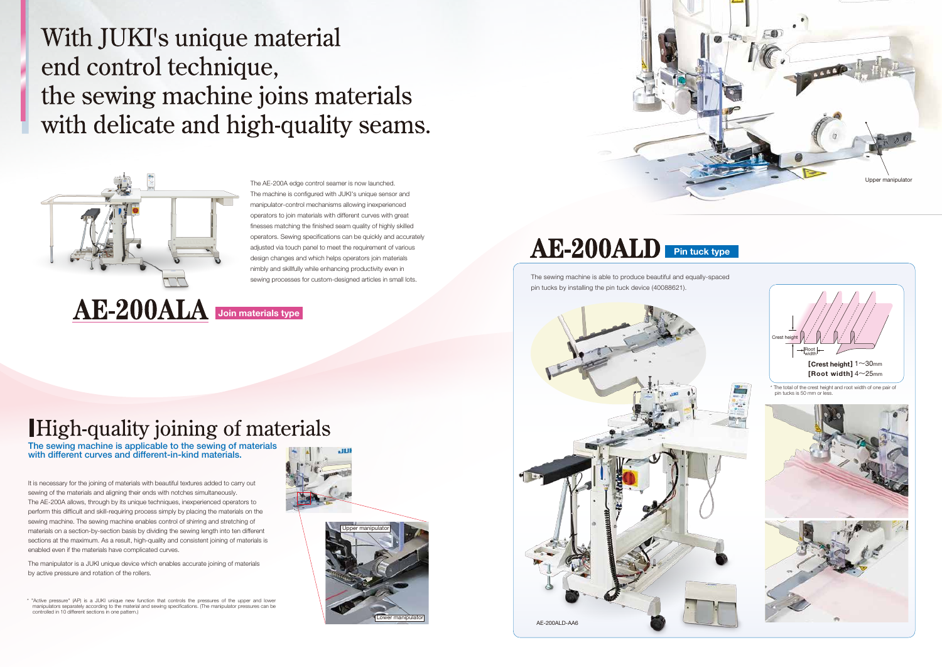The sewing machine is applicable to the sewing of materials with different curves and different-in-kind materials.

With JUKI's unique material end control technique, the sewing machine joins materials with delicate and high-quality seams.



The AE-200A edge control seamer is now launched. The machine is configured with JUKI's unique sensor and manipulator-control mechanisms allowing inexperienced operators to join materials with different curves with great finesses matching the finished seam quality of highly skilled operators. Sewing specifications can be quickly and accurately adjusted via touch panel to meet the requirement of various design changes and which helps operators join materials nimbly and skillfully while enhancing productivity even in

It is necessary for the joining of materials with beautiful textures added to carry out sewing of the materials and aligning their ends with notches simultaneously. The AE-200A allows, through by its unique techniques, inexperienced operators to perform this difficult and skill-requiring process simply by placing the materials on the sewing machine. The sewing machine enables control of shirring and stretching of materials on a section-by-section basis by dividing the sewing length into ten different sections at the maximum. As a result, high-quality and consistent joining of materials is enabled even if the materials have complicated curves.

\* "Active pressure" (AP) is a JUKI unique new function that controls the pressures of the upper and lower manipulators separately according to the material and sewing specifications. (The manipulator pressures can be controlled in 10 different sections in one pattern.)



The manipulator is a JUKI unique device which enables accurate joining of materials by active pressure and rotation of the rollers.

**Join materials type**

# High-quality joining of materials





# AE-200ALD Pin tuck type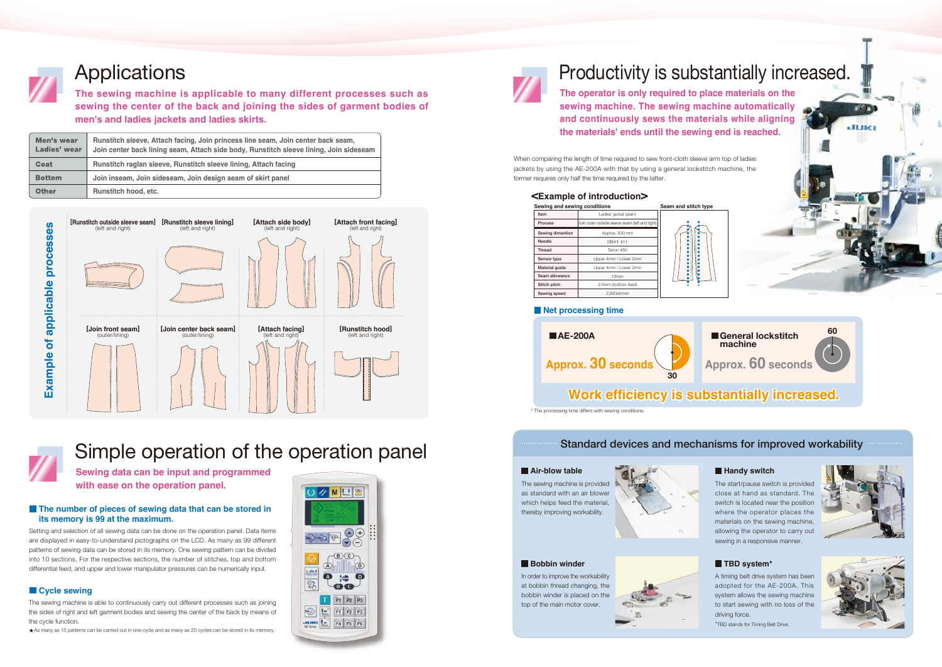



**Sewing data can be input and programmed with ease on the operation panel.**

### **The number of pieces of sewing data that can be stored in its memory is 99 at the maximum.**

## Simple operation of the operation panel

| Men's wear<br>Ladies' wear | Runstitch sleeve, Attach facing, Join princess line seam, Join center back seam,<br>Join center back lining seam, Attach side body, Runstitch sleeve lining, Join sideseam |
|----------------------------|----------------------------------------------------------------------------------------------------------------------------------------------------------------------------|
| Coat                       | Runstitch raglan sleeve, Runstitch sleeve lining, Attach facing                                                                                                            |
| <b>Bottom</b>              | Join inseam, Join sideseam, Join design seam of skirt panel                                                                                                                |
| <b>Other</b>               | Runstitch hood, etc.                                                                                                                                                       |

### **Cycle sewing**

Setting and selection of all sewing data can be done on the operation panel. Data items are displayed in easy-to-understand pictographs on the LCD. As many as 99 different patterns of sewing data can be stored in its memory. One sewing pattern can be divided into 10 sections. For the respective sections, the number of stitches, top and bottom differential feed, and upper and lower manipulator pressures can be numerically input.

### Standard devices and mechanisms for improved workability

#### **Air-blow table**

#### **<Example of introduction>**

The sewing machine is provided as standard with an air blower which helps feed the material, thereby improving workability.



### **Bobbin winder**

The start/pause switch is provided close at hand as standard. The switch is located near the position where the operator places the materials on the sewing machine, allowing the operator to carry out sewing in a responsive manner.

In order to improve the workability at bobbin thread changing, the bobbin winder is placed on the top of the main motor cover.



### **TBD system\***

A timing belt drive system has been adopted for the AE-200A. This system allows the sewing machine to start sewing with no loss of the driving force.

\*TBD stands for Timing Belt Drive.



When comparing the length of time required to sew front-cloth sleeve arm top of ladies jackets by using the AE-200A with that by using a general lockstitch machine, the former requires only half the time required by the latter.

| Sewing and sewing conditions<br>Seam |                                                 |  |  |  |
|--------------------------------------|-------------------------------------------------|--|--|--|
| Item                                 | Ladies' jacket (plain)                          |  |  |  |
| Process                              | Join outer outside sleeve seam (left and right) |  |  |  |
| Sewing dimention                     | Approx. 500 mm                                  |  |  |  |
| Needle                               | DBX1 #11                                        |  |  |  |
| Thread                               | Tetron #50                                      |  |  |  |
| Sensor type                          | Upper 4mm / Lower 2mm                           |  |  |  |
| Material guide                       | Upper 4mm / Lower 2mm                           |  |  |  |
| Seam allowance                       | 10 <sub>mm</sub>                                |  |  |  |
| Stitch pitch                         | 2.5mm (bottom-feed)                             |  |  |  |
| Sewing speed                         | 2.800sti/min                                    |  |  |  |



### **Net processing time**





#### **Handy switch**

**60**

**JUKI** 





### **Work efficiency is substantially increased.**

The sewing machine is able to continuously carry out different processes such as joining the sides of right and left garment bodies and sewing the center of the back by means of the cycle function.

As many as 15 patterns can be carried out in one cycle and as many as 20 cycles can be stored in its memory.





# Applications **Productivity** is substantially increased.

\* The processing time differs with sewing conditions.



**The sewing machine is applicable to many different processes such as sewing the center of the back and joining the sides of garment bodies of men's and ladies jackets and ladies skirts.**

**The operator is only required to place materials on the sewing machine. The sewing machine automatically and continuously sews the materials while aligning the materials' ends until the sewing end is reached.**